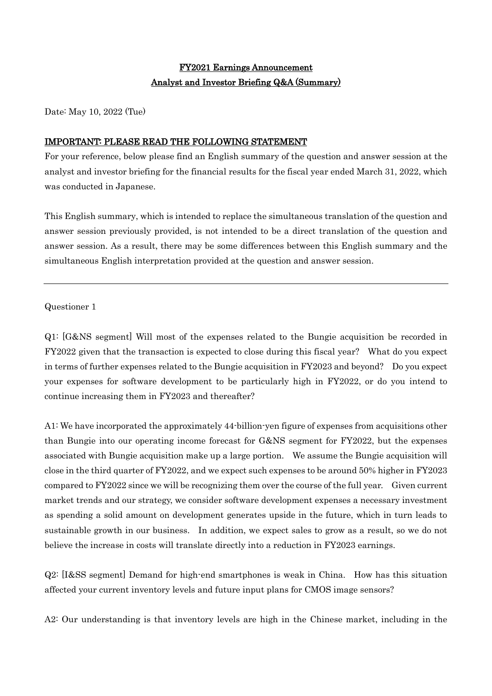# FY2021 Earnings Announcement Analyst and Investor Briefing Q&A (Summary)

Date: May 10, 2022 (Tue)

## IMPORTANT: PLEASE READ THE FOLLOWING STATEMENT

For your reference, below please find an English summary of the question and answer session at the analyst and investor briefing for the financial results for the fiscal year ended March 31, 2022, which was conducted in Japanese.

This English summary, which is intended to replace the simultaneous translation of the question and answer session previously provided, is not intended to be a direct translation of the question and answer session. As a result, there may be some differences between this English summary and the simultaneous English interpretation provided at the question and answer session.

## Questioner 1

Q1: [G&NS segment] Will most of the expenses related to the Bungie acquisition be recorded in FY2022 given that the transaction is expected to close during this fiscal year? What do you expect in terms of further expenses related to the Bungie acquisition in FY2023 and beyond? Do you expect your expenses for software development to be particularly high in FY2022, or do you intend to continue increasing them in FY2023 and thereafter?

A1: We have incorporated the approximately 44-billion-yen figure of expenses from acquisitions other than Bungie into our operating income forecast for G&NS segment for FY2022, but the expenses associated with Bungie acquisition make up a large portion. We assume the Bungie acquisition will close in the third quarter of FY2022, and we expect such expenses to be around 50% higher in FY2023 compared to FY2022 since we will be recognizing them over the course of the full year. Given current market trends and our strategy, we consider software development expenses a necessary investment as spending a solid amount on development generates upside in the future, which in turn leads to sustainable growth in our business. In addition, we expect sales to grow as a result, so we do not believe the increase in costs will translate directly into a reduction in FY2023 earnings.

Q2: [I&SS segment] Demand for high-end smartphones is weak in China. How has this situation affected your current inventory levels and future input plans for CMOS image sensors?

A2: Our understanding is that inventory levels are high in the Chinese market, including in the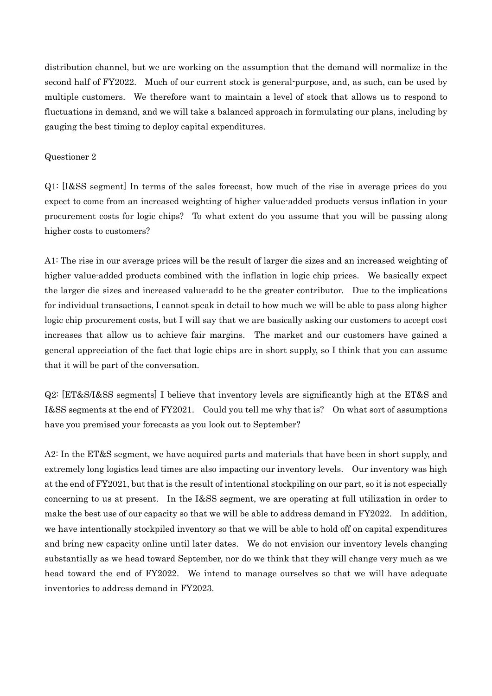distribution channel, but we are working on the assumption that the demand will normalize in the second half of FY2022. Much of our current stock is general-purpose, and, as such, can be used by multiple customers. We therefore want to maintain a level of stock that allows us to respond to fluctuations in demand, and we will take a balanced approach in formulating our plans, including by gauging the best timing to deploy capital expenditures.

#### Questioner 2

Q1: [I&SS segment] In terms of the sales forecast, how much of the rise in average prices do you expect to come from an increased weighting of higher value-added products versus inflation in your procurement costs for logic chips? To what extent do you assume that you will be passing along higher costs to customers?

A1: The rise in our average prices will be the result of larger die sizes and an increased weighting of higher value-added products combined with the inflation in logic chip prices. We basically expect the larger die sizes and increased value-add to be the greater contributor. Due to the implications for individual transactions, I cannot speak in detail to how much we will be able to pass along higher logic chip procurement costs, but I will say that we are basically asking our customers to accept cost increases that allow us to achieve fair margins. The market and our customers have gained a general appreciation of the fact that logic chips are in short supply, so I think that you can assume that it will be part of the conversation.

Q2: [ET&S/I&SS segments] I believe that inventory levels are significantly high at the ET&S and I&SS segments at the end of FY2021. Could you tell me why that is? On what sort of assumptions have you premised your forecasts as you look out to September?

A2: In the ET&S segment, we have acquired parts and materials that have been in short supply, and extremely long logistics lead times are also impacting our inventory levels. Our inventory was high at the end of FY2021, but that is the result of intentional stockpiling on our part, so it is not especially concerning to us at present. In the I&SS segment, we are operating at full utilization in order to make the best use of our capacity so that we will be able to address demand in FY2022. In addition, we have intentionally stockpiled inventory so that we will be able to hold off on capital expenditures and bring new capacity online until later dates. We do not envision our inventory levels changing substantially as we head toward September, nor do we think that they will change very much as we head toward the end of FY2022. We intend to manage ourselves so that we will have adequate inventories to address demand in FY2023.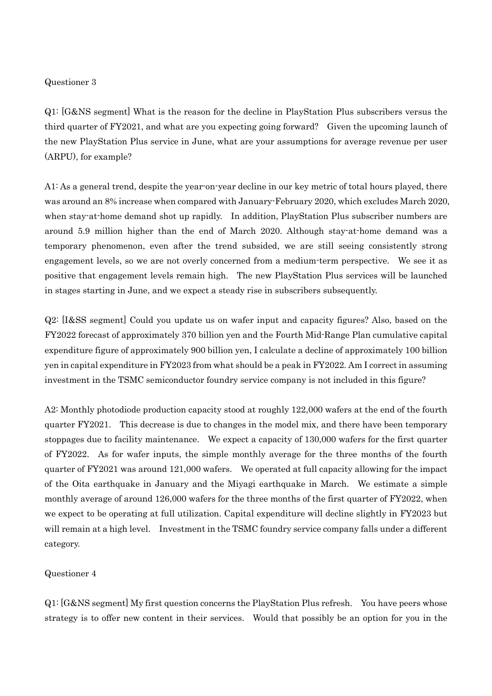#### Questioner 3

Q1: [G&NS segment] What is the reason for the decline in PlayStation Plus subscribers versus the third quarter of FY2021, and what are you expecting going forward? Given the upcoming launch of the new PlayStation Plus service in June, what are your assumptions for average revenue per user (ARPU), for example?

A1: As a general trend, despite the year-on-year decline in our key metric of total hours played, there was around an 8% increase when compared with January-February 2020, which excludes March 2020, when stay-at-home demand shot up rapidly. In addition, PlayStation Plus subscriber numbers are around 5.9 million higher than the end of March 2020. Although stay-at-home demand was a temporary phenomenon, even after the trend subsided, we are still seeing consistently strong engagement levels, so we are not overly concerned from a medium-term perspective. We see it as positive that engagement levels remain high. The new PlayStation Plus services will be launched in stages starting in June, and we expect a steady rise in subscribers subsequently.

Q2: [I&SS segment] Could you update us on wafer input and capacity figures? Also, based on the FY2022 forecast of approximately 370 billion yen and the Fourth Mid-Range Plan cumulative capital expenditure figure of approximately 900 billion yen, I calculate a decline of approximately 100 billion yen in capital expenditure in FY2023 from what should be a peak in FY2022. Am I correct in assuming investment in the TSMC semiconductor foundry service company is not included in this figure?

A2: Monthly photodiode production capacity stood at roughly 122,000 wafers at the end of the fourth quarter FY2021. This decrease is due to changes in the model mix, and there have been temporary stoppages due to facility maintenance. We expect a capacity of 130,000 wafers for the first quarter of FY2022. As for wafer inputs, the simple monthly average for the three months of the fourth quarter of FY2021 was around 121,000 wafers. We operated at full capacity allowing for the impact of the Oita earthquake in January and the Miyagi earthquake in March. We estimate a simple monthly average of around 126,000 wafers for the three months of the first quarter of FY2022, when we expect to be operating at full utilization. Capital expenditure will decline slightly in FY2023 but will remain at a high level. Investment in the TSMC foundry service company falls under a different category.

### Questioner 4

Q1: [G&NS segment] My first question concerns the PlayStation Plus refresh. You have peers whose strategy is to offer new content in their services. Would that possibly be an option for you in the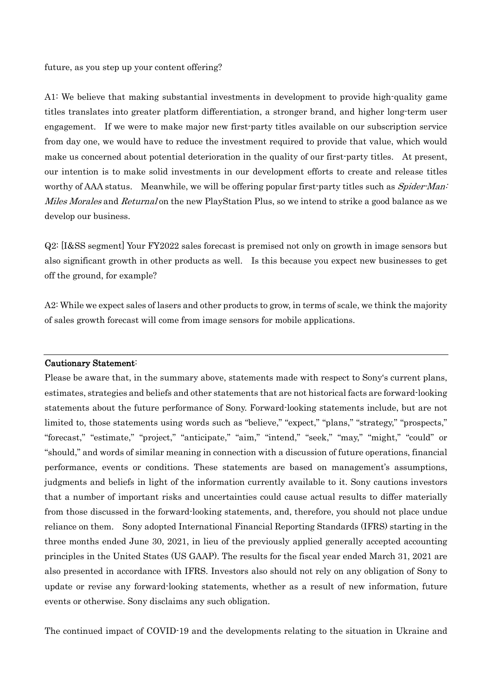future, as you step up your content offering?

A1: We believe that making substantial investments in development to provide high-quality game titles translates into greater platform differentiation, a stronger brand, and higher long-term user engagement. If we were to make major new first-party titles available on our subscription service from day one, we would have to reduce the investment required to provide that value, which would make us concerned about potential deterioration in the quality of our first-party titles. At present, our intention is to make solid investments in our development efforts to create and release titles worthy of AAA status. Meanwhile, we will be offering popular first-party titles such as Spider-Man: *Miles Morales* and *Returnal* on the new PlayStation Plus, so we intend to strike a good balance as we develop our business.

Q2: [I&SS segment] Your FY2022 sales forecast is premised not only on growth in image sensors but also significant growth in other products as well. Is this because you expect new businesses to get off the ground, for example?

A2: While we expect sales of lasers and other products to grow, in terms of scale, we think the majority of sales growth forecast will come from image sensors for mobile applications.

#### Cautionary Statement:

Please be aware that, in the summary above, statements made with respect to Sony's current plans, estimates, strategies and beliefs and other statements that are not historical facts are forward-looking statements about the future performance of Sony. Forward-looking statements include, but are not limited to, those statements using words such as "believe," "expect," "plans," "strategy," "prospects," "forecast," "estimate," "project," "anticipate," "aim," "intend," "seek," "may," "might," "could" or "should," and words of similar meaning in connection with a discussion of future operations, financial performance, events or conditions. These statements are based on management's assumptions, judgments and beliefs in light of the information currently available to it. Sony cautions investors that a number of important risks and uncertainties could cause actual results to differ materially from those discussed in the forward-looking statements, and, therefore, you should not place undue reliance on them. Sony adopted International Financial Reporting Standards (IFRS) starting in the three months ended June 30, 2021, in lieu of the previously applied generally accepted accounting principles in the United States (US GAAP). The results for the fiscal year ended March 31, 2021 are also presented in accordance with IFRS. Investors also should not rely on any obligation of Sony to update or revise any forward-looking statements, whether as a result of new information, future events or otherwise. Sony disclaims any such obligation.

The continued impact of COVID-19 and the developments relating to the situation in Ukraine and